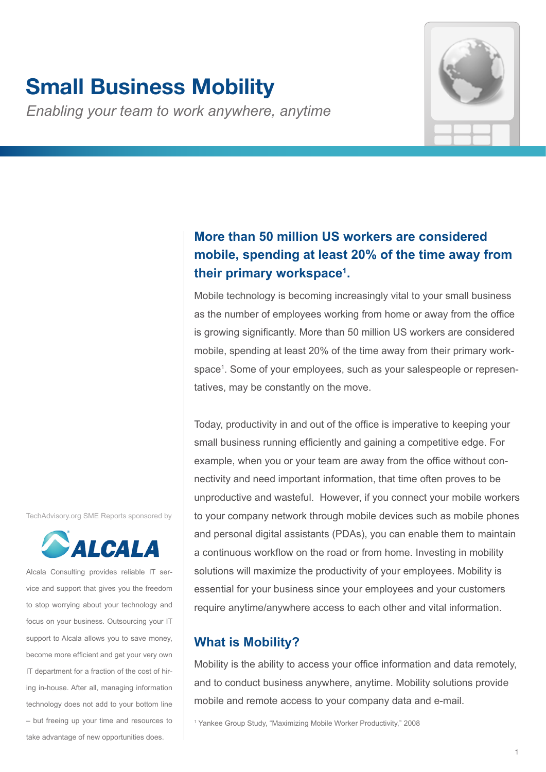# **Small Business Mobility**

*Enabling your team to work anywhere, anytime*



# **More than 50 million US workers are considered mobile, spending at least 20% of the time away from their primary workspace1 .**

Mobile technology is becoming increasingly vital to your small business as the number of employees working from home or away from the office is growing significantly. More than 50 million US workers are considered mobile, spending at least 20% of the time away from their primary workspace1 . Some of your employees, such as your salespeople or representatives, may be constantly on the move.

Today, productivity in and out of the office is imperative to keeping your small business running efficiently and gaining a competitive edge. For example, when you or your team are away from the office without connectivity and need important information, that time often proves to be unproductive and wasteful. However, if you connect your mobile workers to your company network through mobile devices such as mobile phones and personal digital assistants (PDAs), you can enable them to maintain a continuous workflow on the road or from home. Investing in mobility solutions will maximize the productivity of your employees. Mobility is essential for your business since your employees and your customers require anytime/anywhere access to each other and vital information.

# **What is Mobility?**

Mobility is the ability to access your office information and data remotely, and to conduct business anywhere, anytime. Mobility solutions provide mobile and remote access to your company data and e-mail.

1 Yankee Group Study, "Maximizing Mobile Worker Productivity," 2008

TechAdvisory.org SME Reports sponsored by



Alcala Consulting provides reliable IT service and support that gives you the freedom to stop worrying about your technology and focus on your business. Outsourcing your IT support to Alcala allows you to save money, become more efficient and get your very own IT department for a fraction of the cost of hiring in-house. After all, managing information technology does not add to your bottom line – but freeing up your time and resources to take advantage of new opportunities does.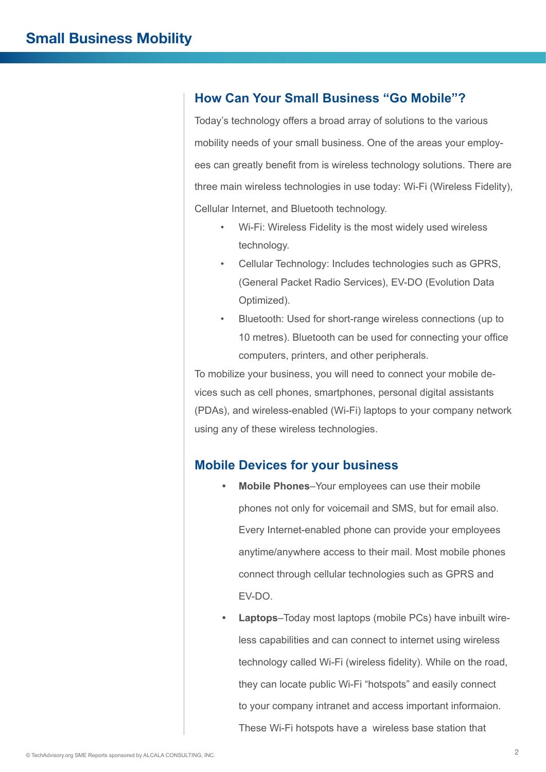### **How Can Your Small Business "Go Mobile"?**

Today's technology offers a broad array of solutions to the various mobility needs of your small business. One of the areas your employees can greatly benefit from is wireless technology solutions. There are three main wireless technologies in use today: Wi-Fi (Wireless Fidelity), Cellular Internet, and Bluetooth technology.

- Wi-Fi: Wireless Fidelity is the most widely used wireless technology.
- Cellular Technology: Includes technologies such as GPRS, (General Packet Radio Services), EV-DO (Evolution Data Optimized).
- Bluetooth: Used for short-range wireless connections (up to 10 metres). Bluetooth can be used for connecting your office computers, printers, and other peripherals.

To mobilize your business, you will need to connect your mobile devices such as cell phones, smartphones, personal digital assistants (PDAs), and wireless-enabled (Wi-Fi) laptops to your company network using any of these wireless technologies.

### **Mobile Devices for your business**

- **Mobile Phones**–Your employees can use their mobile phones not only for voicemail and SMS, but for email also. Every Internet-enabled phone can provide your employees anytime/anywhere access to their mail. Most mobile phones connect through cellular technologies such as GPRS and EV-DO.
- **Laptops**–Today most laptops (mobile PCs) have inbuilt wireless capabilities and can connect to internet using wireless technology called Wi-Fi (wireless fidelity). While on the road, they can locate public Wi-Fi "hotspots" and easily connect to your company intranet and access important informaion. These Wi-Fi hotspots have a wireless base station that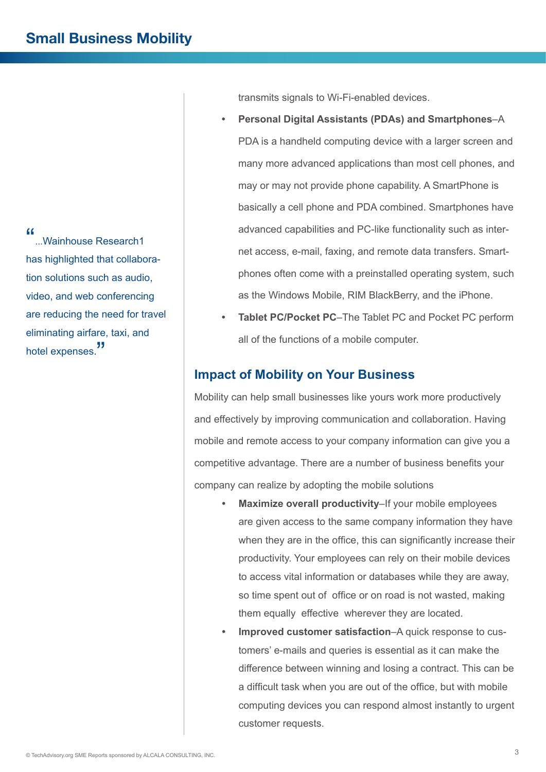"...Wainhouse Research1 has highlighted that collaboration solutions such as audio, video, and web conferencing are reducing the need for travel eliminating airfare, taxi, and hotel expenses.<sup>"</sup>

transmits signals to Wi-Fi-enabled devices.

- **Personal Digital Assistants (PDAs) and Smartphones–A** PDA is a handheld computing device with a larger screen and many more advanced applications than most cell phones, and may or may not provide phone capability. A SmartPhone is basically a cell phone and PDA combined. Smartphones have advanced capabilities and PC-like functionality such as internet access, e-mail, faxing, and remote data transfers. Smartphones often come with a preinstalled operating system, such as the Windows Mobile, RIM BlackBerry, and the iPhone.
- **Tablet PC/Pocket PC–The Tablet PC and Pocket PC perform** all of the functions of a mobile computer.

## **Impact of Mobility on Your Business**

Mobility can help small businesses like yours work more productively and effectively by improving communication and collaboration. Having mobile and remote access to your company information can give you a competitive advantage. There are a number of business benefits your company can realize by adopting the mobile solutions

- **Maximize overall productivity–If your mobile employees** are given access to the same company information they have when they are in the office, this can significantly increase their productivity. Your employees can rely on their mobile devices to access vital information or databases while they are away, so time spent out of office or on road is not wasted, making them equally effective wherever they are located.
- **Improved customer satisfaction–A quick response to cus**tomers' e-mails and queries is essential as it can make the difference between winning and losing a contract. This can be a difficult task when you are out of the office, but with mobile computing devices you can respond almost instantly to urgent customer requests.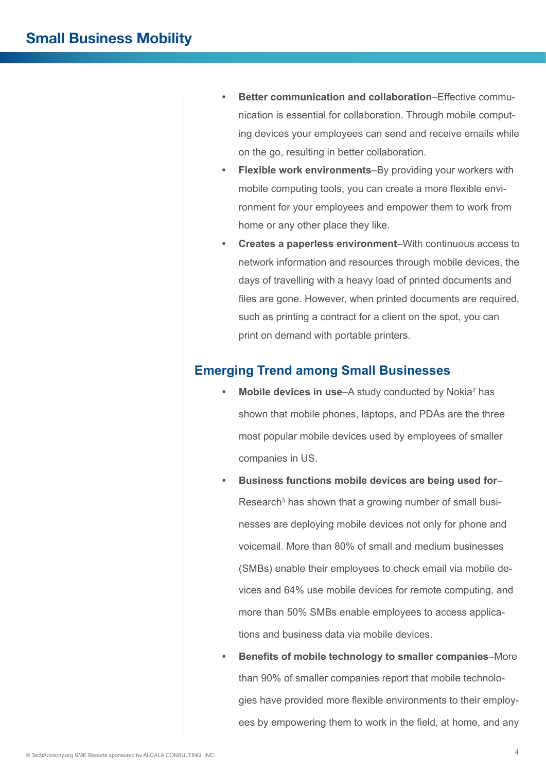- **Better communication and collaboration–Effective commu**nication is essential for collaboration. Through mobile computing devices your employees can send and receive emails while on the go, resulting in better collaboration.
- **Flexible work environments–By providing your workers with** mobile computing tools, you can create a more flexible environment for your employees and empower them to work from home or any other place they like.
- **Creates a paperless environment–With continuous access to** network information and resources through mobile devices, the days of travelling with a heavy load of printed documents and files are gone. However, when printed documents are required, such as printing a contract for a client on the spot, you can print on demand with portable printers.

### **Emerging Trend among Small Businesses**

- Mobile devices in use–A study conducted by Nokia<sup>2</sup> has shown that mobile phones, laptops, and PDAs are the three most popular mobile devices used by employees of smaller companies in US.
- **Business functions mobile devices are being used for–** Research<sup>3</sup> has shown that a growing number of small businesses are deploying mobile devices not only for phone and voicemail. More than 80% of small and medium businesses (SMBs) enable their employees to check email via mobile devices and 64% use mobile devices for remote computing, and more than 50% SMBs enable employees to access applications and business data via mobile devices.
- **• Benefits of mobile technology to smaller companies**–More than 90% of smaller companies report that mobile technologies have provided more flexible environments to their employees by empowering them to work in the field, at home, and any